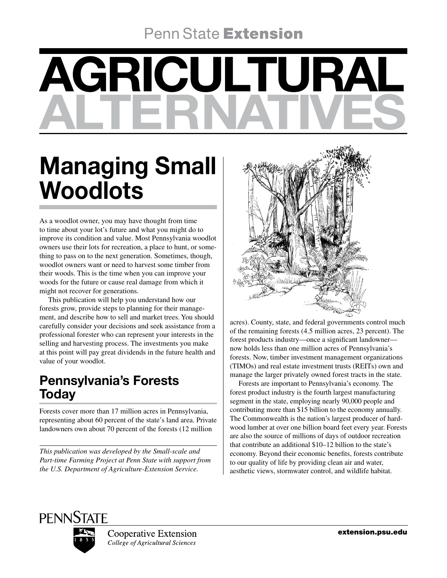## **Penn State Extension**

# AGRICULTURAL ALTERNATIVES

## Managing Small **Woodlots**

As a woodlot owner, you may have thought from time to time about your lot's future and what you might do to improve its condition and value. Most Pennsylvania woodlot owners use their lots for recreation, a place to hunt, or something to pass on to the next generation. Sometimes, though, woodlot owners want or need to harvest some timber from their woods. This is the time when you can improve your woods for the future or cause real damage from which it might not recover for generations.

This publication will help you understand how our forests grow, provide steps to planning for their management, and describe how to sell and market trees. You should carefully consider your decisions and seek assistance from a professional forester who can represent your interests in the selling and harvesting process. The investments you make at this point will pay great dividends in the future health and value of your woodlot.

## Pennsylvania's Forests Today

Forests cover more than 17 million acres in Pennsylvania, representing about 60 percent of the state's land area. Private landowners own about 70 percent of the forests (12 million

*This publication was developed by the Small-scale and Part-time Farming Project at Penn State with support from the U.S. Department of Agriculture-Extension Service.*



acres). County, state, and federal governments control much of the remaining forests (4.5 million acres, 23 percent). The forest products industry—once a significant landowner now holds less than one million acres of Pennsylvania's forests. Now, timber investment management organizations (TIMOs) and real estate investment trusts (REITs) own and manage the larger privately owned forest tracts in the state.

Forests are important to Pennsylvania's economy. The forest product industry is the fourth largest manufacturing segment in the state, employing nearly 90,000 people and contributing more than \$15 billion to the economy annually. The Commonwealth is the nation's largest producer of hardwood lumber at over one billion board feet every year. Forests are also the source of millions of days of outdoor recreation that contribute an additional \$10–12 billion to the state's economy. Beyond their economic benefits, forests contribute to our quality of life by providing clean air and water, aesthetic views, stormwater control, and wildlife habitat.



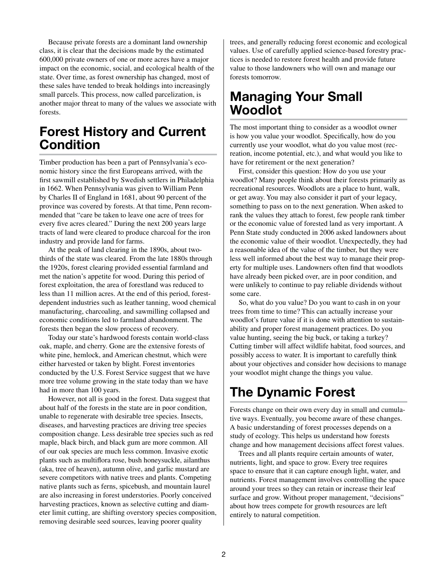Because private forests are a dominant land ownership class, it is clear that the decisions made by the estimated 600,000 private owners of one or more acres have a major impact on the economic, social, and ecological health of the state. Over time, as forest ownership has changed, most of these sales have tended to break holdings into increasingly small parcels. This process, now called parcelization, is another major threat to many of the values we associate with forests.

### Forest History and Current **Condition**

Timber production has been a part of Pennsylvania's economic history since the first Europeans arrived, with the first sawmill established by Swedish settlers in Philadelphia in 1662. When Pennsylvania was given to William Penn by Charles II of England in 1681, about 90 percent of the province was covered by forests. At that time, Penn recommended that "care be taken to leave one acre of trees for every five acres cleared." During the next 200 years large tracts of land were cleared to produce charcoal for the iron industry and provide land for farms.

At the peak of land clearing in the 1890s, about twothirds of the state was cleared. From the late 1880s through the 1920s, forest clearing provided essential farmland and met the nation's appetite for wood. During this period of forest exploitation, the area of forestland was reduced to less than 11 million acres. At the end of this period, forestdependent industries such as leather tanning, wood chemical manufacturing, charcoaling, and sawmilling collapsed and economic conditions led to farmland abandonment. The forests then began the slow process of recovery.

Today our state's hardwood forests contain world-class oak, maple, and cherry. Gone are the extensive forests of white pine, hemlock, and American chestnut, which were either harvested or taken by blight. Forest inventories conducted by the U.S. Forest Service suggest that we have more tree volume growing in the state today than we have had in more than 100 years.

However, not all is good in the forest. Data suggest that about half of the forests in the state are in poor condition, unable to regenerate with desirable tree species. Insects, diseases, and harvesting practices are driving tree species composition change. Less desirable tree species such as red maple, black birch, and black gum are more common. All of our oak species are much less common. Invasive exotic plants such as multiflora rose, bush honeysuckle, ailanthus (aka, tree of heaven), autumn olive, and garlic mustard are severe competitors with native trees and plants. Competing native plants such as ferns, spicebush, and mountain laurel are also increasing in forest understories. Poorly conceived harvesting practices, known as selective cutting and diameter limit cutting, are shifting overstory species composition, removing desirable seed sources, leaving poorer quality

trees, and generally reducing forest economic and ecological values. Use of carefully applied science-based forestry practices is needed to restore forest health and provide future value to those landowners who will own and manage our forests tomorrow.

## Managing Your Small Woodlot

The most important thing to consider as a woodlot owner is how you value your woodlot. Specifically, how do you currently use your woodlot, what do you value most (recreation, income potential, etc.), and what would you like to have for retirement or the next generation?

First, consider this question: How do you use your woodlot? Many people think about their forests primarily as recreational resources. Woodlots are a place to hunt, walk, or get away. You may also consider it part of your legacy, something to pass on to the next generation. When asked to rank the values they attach to forest, few people rank timber or the economic value of forested land as very important. A Penn State study conducted in 2006 asked landowners about the economic value of their woodlot. Unexpectedly, they had a reasonable idea of the value of the timber, but they were less well informed about the best way to manage their property for multiple uses. Landowners often find that woodlots have already been picked over, are in poor condition, and were unlikely to continue to pay reliable dividends without some care.

So, what do you value? Do you want to cash in on your trees from time to time? This can actually increase your woodlot's future value if it is done with attention to sustainability and proper forest management practices. Do you value hunting, seeing the big buck, or taking a turkey? Cutting timber will affect wildlife habitat, food sources, and possibly access to water. It is important to carefully think about your objectives and consider how decisions to manage your woodlot might change the things you value.

## The Dynamic Forest

Forests change on their own every day in small and cumulative ways. Eventually, you become aware of these changes. A basic understanding of forest processes depends on a study of ecology. This helps us understand how forests change and how management decisions affect forest values.

Trees and all plants require certain amounts of water, nutrients, light, and space to grow. Every tree requires space to ensure that it can capture enough light, water, and nutrients. Forest management involves controlling the space around your trees so they can retain or increase their leaf surface and grow. Without proper management, "decisions" about how trees compete for growth resources are left entirely to natural competition.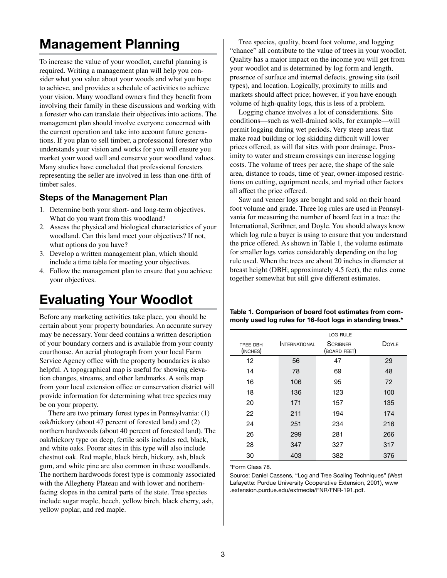## Management Planning

To increase the value of your woodlot, careful planning is required. Writing a management plan will help you consider what you value about your woods and what you hope to achieve, and provides a schedule of activities to achieve your vision. Many woodland owners find they benefit from involving their family in these discussions and working with a forester who can translate their objectives into actions. The management plan should involve everyone concerned with the current operation and take into account future generations. If you plan to sell timber, a professional forester who understands your vision and works for you will ensure you market your wood well and conserve your woodland values. Many studies have concluded that professional foresters representing the seller are involved in less than one-fifth of timber sales.

#### Steps of the Management Plan

- 1. Determine both your short- and long-term objectives. What do you want from this woodland?
- 2. Assess the physical and biological characteristics of your woodland. Can this land meet your objectives? If not, what options do you have?
- 3. Develop a written management plan, which should include a time table for meeting your objectives.
- 4. Follow the management plan to ensure that you achieve your objectives.

## Evaluating Your Woodlot

Before any marketing activities take place, you should be certain about your property boundaries. An accurate survey may be necessary. Your deed contains a written description of your boundary corners and is available from your county courthouse. An aerial photograph from your local Farm Service Agency office with the property boundaries is also helpful. A topographical map is useful for showing elevation changes, streams, and other landmarks. A soils map from your local extension office or conservation district will provide information for determining what tree species may be on your property.

There are two primary forest types in Pennsylvania: (1) oak/hickory (about 47 percent of forested land) and (2) northern hardwoods (about 40 percent of forested land). The oak/hickory type on deep, fertile soils includes red, black, and white oaks. Poorer sites in this type will also include chestnut oak. Red maple, black birch, hickory, ash, black gum, and white pine are also common in these woodlands. The northern hardwoods forest type is commonly associated with the Allegheny Plateau and with lower and northernfacing slopes in the central parts of the state. Tree species include sugar maple, beech, yellow birch, black cherry, ash, yellow poplar, and red maple.

Tree species, quality, board foot volume, and logging "chance" all contribute to the value of trees in your woodlot. Quality has a major impact on the income you will get from your woodlot and is determined by log form and length, presence of surface and internal defects, growing site (soil types), and location. Logically, proximity to mills and markets should affect price; however, if you have enough volume of high-quality logs, this is less of a problem.

Logging chance involves a lot of considerations. Site conditions—such as well-drained soils, for example—will permit logging during wet periods. Very steep areas that make road building or log skidding difficult will lower prices offered, as will flat sites with poor drainage. Proximity to water and stream crossings can increase logging costs. The volume of trees per acre, the shape of the sale area, distance to roads, time of year, owner-imposed restrictions on cutting, equipment needs, and myriad other factors all affect the price offered.

Saw and veneer logs are bought and sold on their board foot volume and grade. Three log rules are used in Pennsylvania for measuring the number of board feet in a tree: the International, Scribner, and Doyle. You should always know which log rule a buyer is using to ensure that you understand the price offered. As shown in Table 1, the volume estimate for smaller logs varies considerably depending on the log rule used. When the trees are about 20 inches in diameter at breast height (DBH; approximately 4.5 feet), the rules come together somewhat but still give different estimates.

Table 1. Comparison of board foot estimates from commonly used log rules for 16-foot logs in standing trees.\*

|                      | <b>LOG RULE</b>      |                                 |              |  |
|----------------------|----------------------|---------------------------------|--------------|--|
| TREE DBH<br>(INCHES) | <b>INTERNATIONAL</b> | <b>SCRIBNER</b><br>(BOARD FEET) | <b>DOYLE</b> |  |
| 12                   | 56                   | 47                              | 29           |  |
| 14                   | 78                   | 69                              | 48           |  |
| 16                   | 106                  | 95                              | 72           |  |
| 18                   | 136                  | 123                             | 100          |  |
| 20                   | 171                  | 157                             | 135          |  |
| 22                   | 211                  | 194                             | 174          |  |
| 24                   | 251                  | 234                             | 216          |  |
| 26                   | 299                  | 281                             | 266          |  |
| 28                   | 347                  | 327                             | 317          |  |
| 30                   | 403                  | 382                             | 376          |  |

\*Form Class 78.

Source: Daniel Cassens, "Log and Tree Scaling Techniques" (West Lafayette: Purdue University Cooperative Extension, 2001), www .extension.purdue.edu/extmedia/FNR/FNR-191.pdf.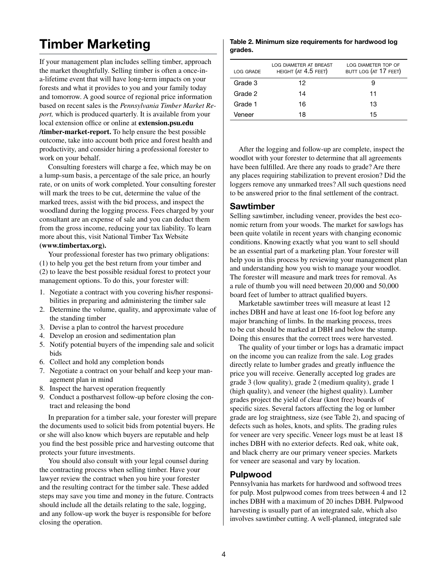## Timber Marketing

If your management plan includes selling timber, approach the market thoughtfully. Selling timber is often a once-ina-lifetime event that will have long-term impacts on your forests and what it provides to you and your family today and tomorrow. A good source of regional price information based on recent sales is the *Pennsylvania Timber Market Report,* which is produced quarterly. It is available from your local extension office or online at **extension.psu.edu /timber-market-report.** To help ensure the best possible outcome, take into account both price and forest health and productivity, and consider hiring a professional forester to work on your behalf.

Consulting foresters will charge a fee, which may be on a lump-sum basis, a percentage of the sale price, an hourly rate, or on units of work completed. Your consulting forester will mark the trees to be cut, determine the value of the marked trees, assist with the bid process, and inspect the woodland during the logging process. Fees charged by your consultant are an expense of sale and you can deduct them from the gross income, reducing your tax liability. To learn more about this, visit National Timber Tax Website **(www.timbertax.org).**

Your professional forester has two primary obligations: (1) to help you get the best return from your timber and (2) to leave the best possible residual forest to protect your management options. To do this, your forester will:

- 1. Negotiate a contract with you covering his/her responsibilities in preparing and administering the timber sale
- 2. Determine the volume, quality, and approximate value of the standing timber
- 3. Devise a plan to control the harvest procedure
- 4. Develop an erosion and sedimentation plan
- 5. Notify potential buyers of the impending sale and solicit bids
- 6. Collect and hold any completion bonds
- 7. Negotiate a contract on your behalf and keep your management plan in mind
- 8. Inspect the harvest operation frequently
- 9. Conduct a postharvest follow-up before closing the contract and releasing the bond

In preparation for a timber sale, your forester will prepare the documents used to solicit bids from potential buyers. He or she will also know which buyers are reputable and help you find the best possible price and harvesting outcome that protects your future investments.

You should also consult with your legal counsel during the contracting process when selling timber. Have your lawyer review the contract when you hire your forester and the resulting contract for the timber sale. These added steps may save you time and money in the future. Contracts should include all the details relating to the sale, logging, and any follow-up work the buyer is responsible for before closing the operation.

#### Table 2. Minimum size requirements for hardwood log grades.

| LOG GRADE | LOG DIAMETER AT BREAST<br>HEIGHT (AT 4.5 FEET) | LOG DIAMETER TOP OF<br>BUTT LOG (AT 17 FEET) |
|-----------|------------------------------------------------|----------------------------------------------|
| Grade 3   | 12                                             | 9                                            |
| Grade 2   | 14                                             | 11                                           |
| Grade 1   | 16                                             | 13                                           |
| Veneer    | 18                                             | 15                                           |

After the logging and follow-up are complete, inspect the woodlot with your forester to determine that all agreements have been fulfilled. Are there any roads to grade? Are there any places requiring stabilization to prevent erosion? Did the loggers remove any unmarked trees? All such questions need to be answered prior to the final settlement of the contract.

#### Sawtimber

Selling sawtimber, including veneer, provides the best economic return from your woods. The market for sawlogs has been quite volatile in recent years with changing economic conditions. Knowing exactly what you want to sell should be an essential part of a marketing plan. Your forester will help you in this process by reviewing your management plan and understanding how you wish to manage your woodlot. The forester will measure and mark trees for removal. As a rule of thumb you will need between 20,000 and 50,000 board feet of lumber to attract qualified buyers.

Marketable sawtimber trees will measure at least 12 inches DBH and have at least one 16-foot log before any major branching of limbs. In the marking process, trees to be cut should be marked at DBH and below the stump. Doing this ensures that the correct trees were harvested.

The quality of your timber or logs has a dramatic impact on the income you can realize from the sale. Log grades directly relate to lumber grades and greatly influence the price you will receive. Generally accepted log grades are grade 3 (low quality), grade 2 (medium quality), grade 1 (high quality), and veneer (the highest quality). Lumber grades project the yield of clear (knot free) boards of specific sizes. Several factors affecting the log or lumber grade are log straightness, size (see Table 2), and spacing of defects such as holes, knots, and splits. The grading rules for veneer are very specific. Veneer logs must be at least 18 inches DBH with no exterior defects. Red oak, white oak, and black cherry are our primary veneer species. Markets for veneer are seasonal and vary by location.

#### Pulpwood

Pennsylvania has markets for hardwood and softwood trees for pulp. Most pulpwood comes from trees between 4 and 12 inches DBH with a maximum of 20 inches DBH. Pulpwood harvesting is usually part of an integrated sale, which also involves sawtimber cutting. A well-planned, integrated sale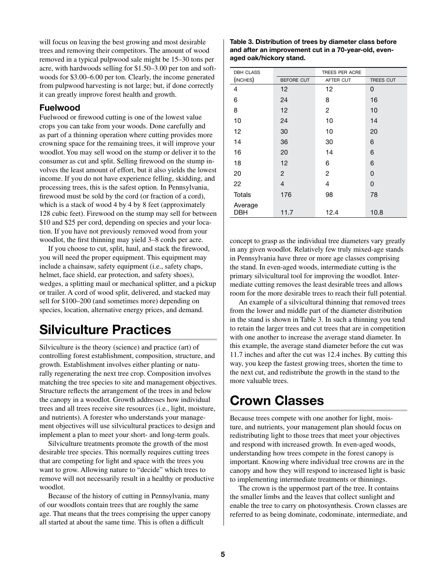will focus on leaving the best growing and most desirable trees and removing their competitors. The amount of wood removed in a typical pulpwood sale might be 15–30 tons per acre, with hardwoods selling for \$1.50–3.00 per ton and softwoods for \$3.00–6.00 per ton. Clearly, the income generated from pulpwood harvesting is not large; but, if done correctly it can greatly improve forest health and growth.

#### Fuelwood

Fuelwood or firewood cutting is one of the lowest value crops you can take from your woods. Done carefully and as part of a thinning operation where cutting provides more crowning space for the remaining trees, it will improve your woodlot. You may sell wood on the stump or deliver it to the consumer as cut and split. Selling firewood on the stump involves the least amount of effort, but it also yields the lowest income. If you do not have experience felling, skidding, and processing trees, this is the safest option. In Pennsylvania, firewood must be sold by the cord (or fraction of a cord), which is a stack of wood 4 by 4 by 8 feet (approximately 128 cubic feet). Firewood on the stump may sell for between \$10 and \$25 per cord, depending on species and your location. If you have not previously removed wood from your woodlot, the first thinning may yield 3–8 cords per acre.

If you choose to cut, split, haul, and stack the firewood, you will need the proper equipment. This equipment may include a chainsaw, safety equipment (i.e., safety chaps, helmet, face shield, ear protection, and safety shoes), wedges, a splitting maul or mechanical splitter, and a pickup or trailer. A cord of wood split, delivered, and stacked may sell for \$100–200 (and sometimes more) depending on species, location, alternative energy prices, and demand.

## Silviculture Practices

Silviculture is the theory (science) and practice (art) of controlling forest establishment, composition, structure, and growth. Establishment involves either planting or naturally regenerating the next tree crop. Composition involves matching the tree species to site and management objectives. Structure reflects the arrangement of the trees in and below the canopy in a woodlot. Growth addresses how individual trees and all trees receive site resources (i.e., light, moisture, and nutrients). A forester who understands your management objectives will use silvicultural practices to design and implement a plan to meet your short- and long-term goals.

Silviculture treatments promote the growth of the most desirable tree species. This normally requires cutting trees that are competing for light and space with the trees you want to grow. Allowing nature to "decide" which trees to remove will not necessarily result in a healthy or productive woodlot.

Because of the history of cutting in Pennsylvania, many of our woodlots contain trees that are roughly the same age. That means that the trees comprising the upper canopy all started at about the same time. This is often a difficult

| Table 3. Distribution of trees by diameter class before |
|---------------------------------------------------------|
| and after an improvement cut in a 70-year-old, even-    |
| aged oak/hickory stand.                                 |

| <b>DBH CLASS</b> |            | TREES PER ACRE |           |
|------------------|------------|----------------|-----------|
| (INCHES)         | BEFORE CUT | AFTER CUT      | TREES CUT |
| 4                | 12         | 12             | 0         |
| 6                | 24         | 8              | 16        |
| 8                | 12         | 2              | 10        |
| 10               | 24         | 10             | 14        |
| 12               | 30         | 10             | 20        |
| 14               | 36         | 30             | 6         |
| 16               | 20         | 14             | 6         |
| 18               | 12         | 6              | 6         |
| 20               | 2          | 2              | 0         |
| 22               | 4          | 4              | 0         |
| Totals           | 176        | 98             | 78        |
| Average<br>DBH   | 11.7       | 12.4           | 10.8      |

concept to grasp as the individual tree diameters vary greatly in any given woodlot. Relatively few truly mixed-age stands in Pennsylvania have three or more age classes comprising the stand. In even-aged woods, intermediate cutting is the primary silvicultural tool for improving the woodlot. Intermediate cutting removes the least desirable trees and allows room for the more desirable trees to reach their full potential.

An example of a silvicultural thinning that removed trees from the lower and middle part of the diameter distribution in the stand is shown in Table 3. In such a thinning you tend to retain the larger trees and cut trees that are in competition with one another to increase the average stand diameter. In this example, the average stand diameter before the cut was 11.7 inches and after the cut was 12.4 inches. By cutting this way, you keep the fastest growing trees, shorten the time to the next cut, and redistribute the growth in the stand to the more valuable trees.

## Crown Classes

Because trees compete with one another for light, moisture, and nutrients, your management plan should focus on redistributing light to those trees that meet your objectives and respond with increased growth. In even-aged woods, understanding how trees compete in the forest canopy is important. Knowing where individual tree crowns are in the canopy and how they will respond to increased light is basic to implementing intermediate treatments or thinnings.

The crown is the uppermost part of the tree. It contains the smaller limbs and the leaves that collect sunlight and enable the tree to carry on photosynthesis. Crown classes are referred to as being dominate, codominate, intermediate, and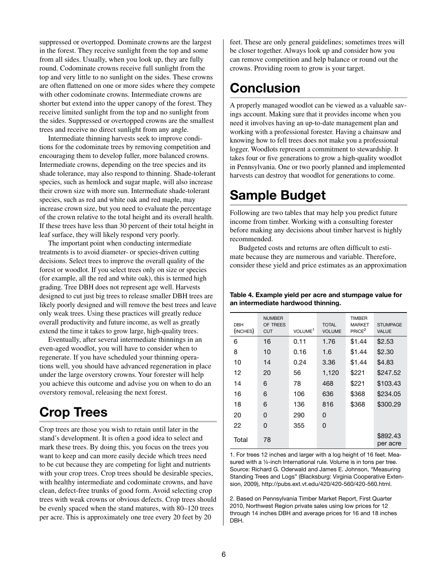suppressed or overtopped. Dominate crowns are the largest in the forest. They receive sunlight from the top and some from all sides. Usually, when you look up, they are fully round. Codominate crowns receive full sunlight from the top and very little to no sunlight on the sides. These crowns are often flattened on one or more sides where they compete with other codominate crowns. Intermediate crowns are shorter but extend into the upper canopy of the forest. They receive limited sunlight from the top and no sunlight from the sides. Suppressed or overtopped crowns are the smallest trees and receive no direct sunlight from any angle.

Intermediate thinning harvests seek to improve conditions for the codominate trees by removing competition and encouraging them to develop fuller, more balanced crowns. Intermediate crowns, depending on the tree species and its shade tolerance, may also respond to thinning. Shade-tolerant species, such as hemlock and sugar maple, will also increase their crown size with more sun. Intermediate shade-tolerant species, such as red and white oak and red maple, may increase crown size, but you need to evaluate the percentage of the crown relative to the total height and its overall health. If these trees have less than 30 percent of their total height in leaf surface, they will likely respond very poorly.

The important point when conducting intermediate treatments is to avoid diameter- or species-driven cutting decisions. Select trees to improve the overall quality of the forest or woodlot. If you select trees only on size or species (for example, all the red and white oak), this is termed high grading. Tree DBH does not represent age well. Harvests designed to cut just big trees to release smaller DBH trees are likely poorly designed and will remove the best trees and leave only weak trees. Using these practices will greatly reduce overall productivity and future income, as well as greatly extend the time it takes to grow large, high-quality trees.

Eventually, after several intermediate thinnings in an even-aged woodlot, you will have to consider when to regenerate. If you have scheduled your thinning operations well, you should have advanced regeneration in place under the large overstory crowns. Your forester will help you achieve this outcome and advise you on when to do an overstory removal, releasing the next forest.

## Crop Trees

Crop trees are those you wish to retain until later in the stand's development. It is often a good idea to select and mark these trees. By doing this, you focus on the trees you want to keep and can more easily decide which trees need to be cut because they are competing for light and nutrients with your crop trees. Crop trees should be desirable species, with healthy intermediate and codominate crowns, and have clean, defect-free trunks of good form. Avoid selecting crop trees with weak crowns or obvious defects. Crop trees should be evenly spaced when the stand matures, with 80–120 trees per acre. This is approximately one tree every 20 feet by 20

feet. These are only general guidelines; sometimes trees will be closer together. Always look up and consider how you can remove competition and help balance or round out the crowns. Providing room to grow is your target.

## **Conclusion**

A properly managed woodlot can be viewed as a valuable savings account. Making sure that it provides income when you need it involves having an up-to-date management plan and working with a professional forester. Having a chainsaw and knowing how to fell trees does not make you a professional logger. Woodlots represent a commitment to stewardship. It takes four or five generations to grow a high-quality woodlot in Pennsylvania. One or two poorly planned and implemented harvests can destroy that woodlot for generations to come.

## Sample Budget

Following are two tables that may help you predict future income from timber. Working with a consulting forester before making any decisions about timber harvest is highly recommended.

Budgeted costs and returns are often difficult to estimate because they are numerous and variable. Therefore, consider these yield and price estimates as an approximation

#### Table 4. Example yield per acre and stumpage value for an intermediate hardwood thinning.

| <b>DBH</b><br>(INCHES) | <b>NUMBER</b><br>OF TREES<br><b>CUT</b> | VOLUME <sup>1</sup> | <b>TOTAL</b><br><b>VOLUME</b> | <b>TIMBER</b><br><b>MARKET</b><br>PRICE <sup>2</sup> | <b>STUMPAGE</b><br><b>VALUE</b> |
|------------------------|-----------------------------------------|---------------------|-------------------------------|------------------------------------------------------|---------------------------------|
| 6                      | 16                                      | 0.11                | 1.76                          | \$1.44                                               | \$2.53                          |
| 8                      | 10                                      | 0.16                | 1.6                           | \$1.44                                               | \$2.30                          |
| 10                     | 14                                      | 0.24                | 3.36                          | \$1.44                                               | \$4.83                          |
| 12                     | 20                                      | 56                  | 1,120                         | \$221                                                | \$247.52                        |
| 14                     | 6                                       | 78                  | 468                           | \$221                                                | \$103.43                        |
| 16                     | 6                                       | 106                 | 636                           | \$368                                                | \$234.05                        |
| 18                     | 6                                       | 136                 | 816                           | \$368                                                | \$300.29                        |
| 20                     | 0                                       | 290                 | 0                             |                                                      |                                 |
| 22                     | 0                                       | 355                 | 0                             |                                                      |                                 |
| Total                  | 78                                      |                     |                               |                                                      | \$892.43<br>per acre            |

1. For trees 12 inches and larger with a log height of 16 feet. Measured with a 1/4-inch International rule. Volume is in tons per tree. Source: Richard G. Oderwald and James E. Johnson, "Measuring Standing Trees and Logs" (Blacksburg: Virginia Cooperative Extension, 2009), http://pubs.ext.vt.edu/420/420-560/420-560.html.

2. Based on Pennsylvania Timber Market Report, First Quarter 2010, Northwest Region private sales using low prices for 12 through 14 inches DBH and average prices for 16 and 18 inches DBH.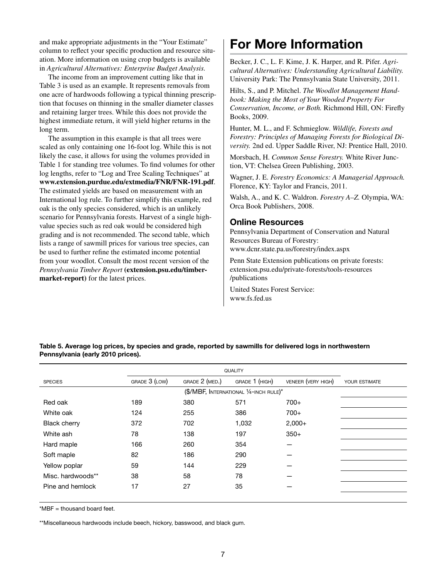and make appropriate adjustments in the "Your Estimate" column to reflect your specific production and resource situation. More information on using crop budgets is available in *Agricultural Alternatives: Enterprise Budget Analysis.*

The income from an improvement cutting like that in Table 3 is used as an example. It represents removals from one acre of hardwoods following a typical thinning prescription that focuses on thinning in the smaller diameter classes and retaining larger trees. While this does not provide the highest immediate return, it will yield higher returns in the long term.

The assumption in this example is that all trees were scaled as only containing one 16-foot log. While this is not likely the case, it allows for using the volumes provided in Table 1 for standing tree volumes. To find volumes for other log lengths, refer to "Log and Tree Scaling Techniques" at **www.extension.purdue.edu/extmedia/FNR/FNR-191.pdf**. The estimated yields are based on measurement with an International log rule. To further simplify this example, red oak is the only species considered, which is an unlikely scenario for Pennsylvania forests. Harvest of a single highvalue species such as red oak would be considered high grading and is not recommended. The second table, which lists a range of sawmill prices for various tree species, can be used to further refine the estimated income potential from your woodlot. Consult the most recent version of the *Pennsylvania Timber Report* **(extension.psu.edu/timbermarket-report)** for the latest prices.

## For More Information

Becker, J. C., L. F. Kime, J. K. Harper, and R. Pifer. *Agricultural Alternatives: Understanding Agricultural Liability.* University Park: The Pennsylvania State University, 2011.

Hilts, S., and P. Mitchel. *The Woodlot Management Handbook: Making the Most of Your Wooded Property For Conservation, Income, or Both.* Richmond Hill, ON: Firefly Books, 2009.

Hunter, M. L., and F. Schmieglow. *Wildlife, Forests and Forestry: Principles of Managing Forests for Biological Diversity.* 2nd ed. Upper Saddle River, NJ: Prentice Hall, 2010.

Morsbach, H. *Common Sense Forestry.* White River Junction, VT: Chelsea Green Publishing, 2003.

Wagner, J. E. *Forestry Economics: A Managerial Approach.*  Florence, KY: Taylor and Francis, 2011.

Walsh, A., and K. C. Waldron. *Forestry A–Z.* Olympia, WA: Orca Book Publishers, 2008.

#### Online Resources

Pennsylvania Department of Conservation and Natural Resources Bureau of Forestry:

www.dcnr.state.pa.us/forestry/index.aspx

Penn State Extension publications on private forests: extension.psu.edu/private-forests/tools-resources /publications

United States Forest Service: www.fs.fed.us

| <b>SPECIES</b>      | GRADE 3 (LOW) | GRADE 2 (MED.) | GRADE 1 (HIGH)                         | VENEER (VERY HIGH) | YOUR ESTIMATE |
|---------------------|---------------|----------------|----------------------------------------|--------------------|---------------|
|                     |               |                | (\$/MBF, INTERNATIONAL 1/4-INCH RULE)* |                    |               |
| Red oak             | 189           | 380            | 571                                    | $700+$             |               |
| White oak           | 124           | 255            | 386                                    | $700+$             |               |
| <b>Black cherry</b> | 372           | 702            | 1,032                                  | $2,000+$           |               |
| White ash           | 78            | 138            | 197                                    | $350+$             |               |
| Hard maple          | 166           | 260            | 354                                    |                    |               |
| Soft maple          | 82            | 186            | 290                                    |                    |               |
| Yellow poplar       | 59            | 144            | 229                                    |                    |               |
| Misc. hardwoods**   | 38            | 58             | 78                                     |                    |               |
| Pine and hemlock    | 17            | 27             | 35                                     |                    |               |

#### Table 5. Average log prices, by species and grade, reported by sawmills for delivered logs in northwestern Pennsylvania (early 2010 prices).

\*MBF = thousand board feet.

\*\*Miscellaneous hardwoods include beech, hickory, basswood, and black gum.